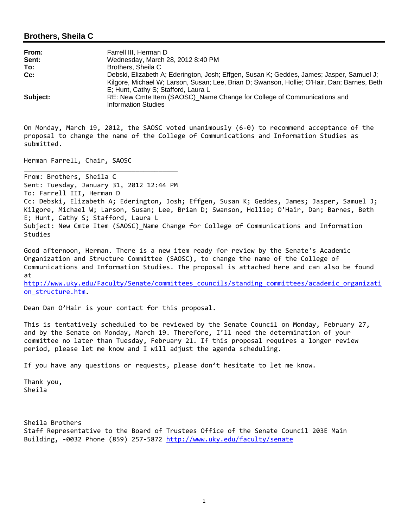## **Brothers, Sheila C**

| From:    | Farrell III, Herman D                                                                                 |
|----------|-------------------------------------------------------------------------------------------------------|
| Sent:    | Wednesday, March 28, 2012 8:40 PM                                                                     |
| To:      | Brothers, Sheila C                                                                                    |
| Cc:      | Debski, Elizabeth A; Ederington, Josh; Effgen, Susan K; Geddes, James; Jasper, Samuel J;              |
|          | Kilgore, Michael W; Larson, Susan; Lee, Brian D; Swanson, Hollie; O'Hair, Dan; Barnes, Beth           |
|          | E; Hunt, Cathy S; Stafford, Laura L                                                                   |
| Subject: | RE: New Cmte Item (SAOSC) Name Change for College of Communications and<br><b>Information Studies</b> |

On Monday, March 19, 2012, the SAOSC voted unanimously (6‐0) to recommend acceptance of the proposal to change the name of the College of Communications and Information Studies as submitted.

Herman Farrell, Chair, SAOSC

\_\_\_\_\_\_\_\_\_\_\_\_\_\_\_\_\_\_\_\_\_\_\_\_\_\_\_\_\_\_\_\_\_\_\_\_\_\_\_\_

From: Brothers, Sheila C Sent: Tuesday, January 31, 2012 12:44 PM To: Farrell III, Herman D Cc: Debski, Elizabeth A; Ederington, Josh; Effgen, Susan K; Geddes, James; Jasper, Samuel J; Kilgore, Michael W; Larson, Susan; Lee, Brian D; Swanson, Hollie; O'Hair, Dan; Barnes, Beth E; Hunt, Cathy S; Stafford, Laura L Subject: New Cmte Item (SAOSC)\_Name Change for College of Communications and Information Studies

Good afternoon, Herman. There is a new item ready for review by the Senate's Academic Organization and Structure Committee (SAOSC), to change the name of the College of Communications and Information Studies. The proposal is attached here and can also be found at

http://www.uky.edu/Faculty/Senate/committees\_councils/standing\_committees/academic\_organizati on\_structure.htm.

Dean Dan O'Hair is your contact for this proposal.

This is tentatively scheduled to be reviewed by the Senate Council on Monday, February 27, and by the Senate on Monday, March 19. Therefore, I'll need the determination of your committee no later than Tuesday, February 21. If this proposal requires a longer review period, please let me know and I will adjust the agenda scheduling.

If you have any questions or requests, please don't hesitate to let me know.

Thank you, Sheila

Sheila Brothers Staff Representative to the Board of Trustees Office of the Senate Council 203E Main Building, ‐0032 Phone (859) 257‐5872 http://www.uky.edu/faculty/senate